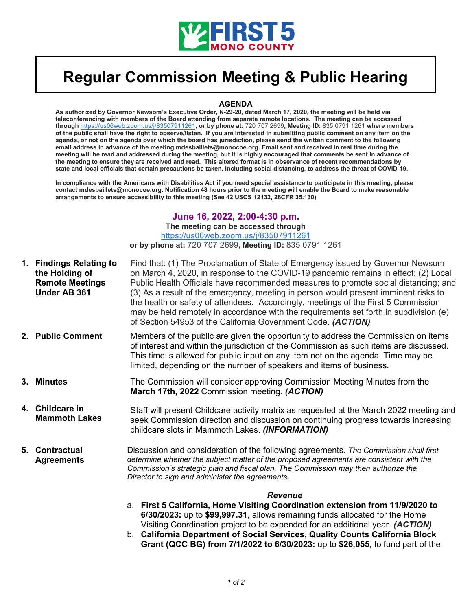

# **Regular Commission Meeting & Public Hearing**

#### **AGENDA**

**As authorized by Governor Newsom's Executive Order, N-29-20, dated March 17, 2020, the meeting will be held via teleconferencing with members of the Board attending from separate remote locations. The meeting can be accessed through** [https://us06web.zoom.us/j/83507911261](https://www.google.com/url?q=https://us06web.zoom.us/j/83507911261&sa=D&source=calendar&ust=1653938367827910&usg=AOvVaw2ZAuZLT5PmnocrMP8MkD1E)**, or by phone at:** 720 707 2699**, Meeting ID:** 835 0791 1261 **where members of the public shall have the right to observe/listen. If you are interested in submitting public comment on any item on the agenda, or not on the agenda over which the board has jurisdiction, please send the written comment to the following email address in advance of the meeting mdesbaillets@monocoe.org. Email sent and received in real time during the meeting will be read and addressed during the meeting, but it is highly encouraged that comments be sent in advance of the meeting to ensure they are received and read. This altered format is in observance of recent recommendations by state and local officials that certain precautions be taken, including social distancing, to address the threat of COVID-19.**

**In compliance with the Americans with Disabilities Act if you need special assistance to participate in this meeting, please contact mdesbaillets@monocoe.org. Notification 48 hours prior to the meeting will enable the Board to make reasonable arrangements to ensure accessibility to this meeting (See 42 USCS 12132, 28CFR 35.130)**

## **June 16, 2022, 2:00-4:30 p.m.**

**The meeting can be accessed through** [https://us06web.zoom.us/j/83507911261](https://www.google.com/url?q=https://us06web.zoom.us/j/83507911261&sa=D&source=calendar&ust=1653938367827910&usg=AOvVaw2ZAuZLT5PmnocrMP8MkD1E) **or by phone at:** 720 707 2699**, Meeting ID:** 835 0791 1261

- **1. Findings Relating to the Holding of Remote Meetings Under AB 361** Find that: (1) The Proclamation of State of Emergency issued by Governor Newsom on March 4, 2020, in response to the COVID-19 pandemic remains in effect; (2) Local Public Health Officials have recommended measures to promote social distancing; and (3) As a result of the emergency, meeting in person would present imminent risks to the health or safety of attendees. Accordingly, meetings of the First 5 Commission may be held remotely in accordance with the requirements set forth in subdivision (e) of Section 54953 of the California Government Code. *(ACTION)*
- **2. Public Comment** Members of the public are given the opportunity to address the Commission on items of interest and within the jurisdiction of the Commission as such items are discussed. This time is allowed for public input on any item not on the agenda. Time may be limited, depending on the number of speakers and items of business.
- **3. Minutes** The Commission will consider approving Commission Meeting Minutes from the **March 17th, 2022** Commission meeting. *(ACTION)*
- **4. Childcare in Mammoth Lakes** Staff will present Childcare activity matrix as requested at the March 2022 meeting and seek Commission direction and discussion on continuing progress towards increasing childcare slots in Mammoth Lakes. *(INFORMATION)*
- **5. Contractual Agreements** Discussion and consideration of the following agreements. *The Commission shall first determine whether the subject matter of the proposed agreements are consistent with the Commission's strategic plan and fiscal plan. The Commission may then authorize the Director to sign and administer the agreements.*

### *Revenue*

- a. **First 5 California, Home Visiting Coordination extension from 11/9/2020 to 6/30/2023:** up to **\$99,997.31**, allows remaining funds allocated for the Home Visiting Coordination project to be expended for an additional year. *(ACTION)*
- b. **California Department of Social Services, Quality Counts California Block Grant (QCC BG) from 7/1/2022 to 6/30/2023:** up to **\$26,055**, to fund part of the